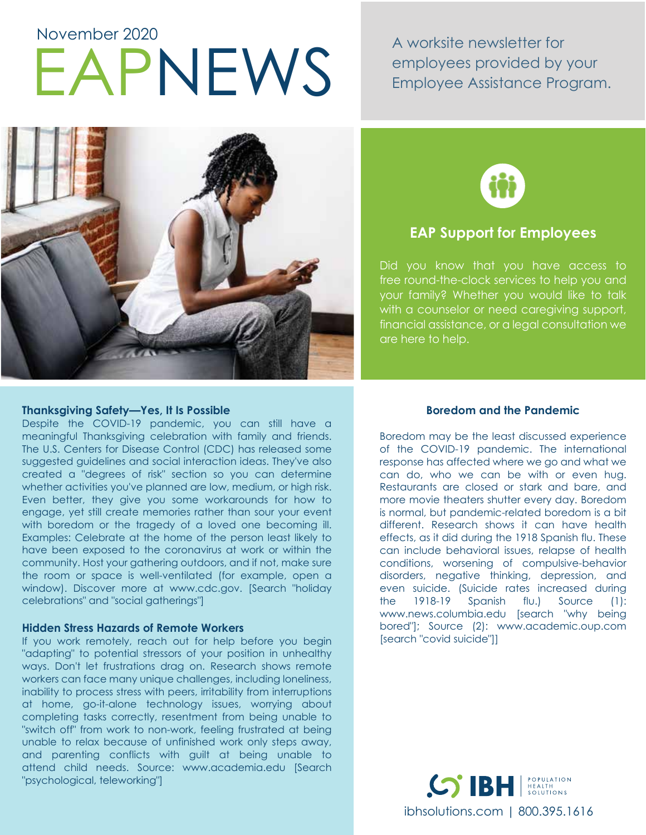# EAPNEWS November 2020

A worksite newsletter for employees provided by your Employee Assistance Program.



## **EAP Support for Employees**

Did you know that you have access to free round-the-clock services to help you and your family? Whether you would like to talk with a counselor or need caregiving support, financial assistance, or a legal consultation we are here to help.

### **Thanksgiving Safety—Yes, It Is Possible**

Despite the COVID-19 pandemic, you can still have a meaningful Thanksgiving celebration with family and friends. The U.S. Centers for Disease Control (CDC) has released some suggested guidelines and social interaction ideas. They've also created a "degrees of risk" section so you can determine whether activities you've planned are low, medium, or high risk. Even better, they give you some workarounds for how to engage, yet still create memories rather than sour your event with boredom or the tragedy of a loved one becoming ill. Examples: Celebrate at the home of the person least likely to have been exposed to the coronavirus at work or within the community. Host your gathering outdoors, and if not, make sure the room or space is well-ventilated (for example, open a window). Discover more at www.cdc.gov. [Search "holiday celebrations" and "social gatherings"]

#### **Hidden Stress Hazards of Remote Workers**

If you work remotely, reach out for help before you begin "adapting" to potential stressors of your position in unhealthy ways. Don't let frustrations drag on. Research shows remote workers can face many unique challenges, including loneliness, inability to process stress with peers, irritability from interruptions at home, go-it-alone technology issues, worrying about completing tasks correctly, resentment from being unable to "switch off" from work to non-work, feeling frustrated at being unable to relax because of unfinished work only steps away, and parenting conflicts with guilt at being unable to attend child needs. Source: www.academia.edu [Search "psychological, teleworking"]

#### **Boredom and the Pandemic**

Boredom may be the least discussed experience of the COVID-19 pandemic. The international response has affected where we go and what we can do, who we can be with or even hug. Restaurants are closed or stark and bare, and more movie theaters shutter every day. Boredom is normal, but pandemic-related boredom is a bit different. Research shows it can have health effects, as it did during the 1918 Spanish flu. These can include behavioral issues, relapse of health conditions, worsening of compulsive-behavior disorders, negative thinking, depression, and even suicide. (Suicide rates increased during the 1918-19 Spanish flu.) Source (1): www.news.columbia.edu [search "why being bored"]; Source (2): www.academic.oup.com [search "covid suicide"]]